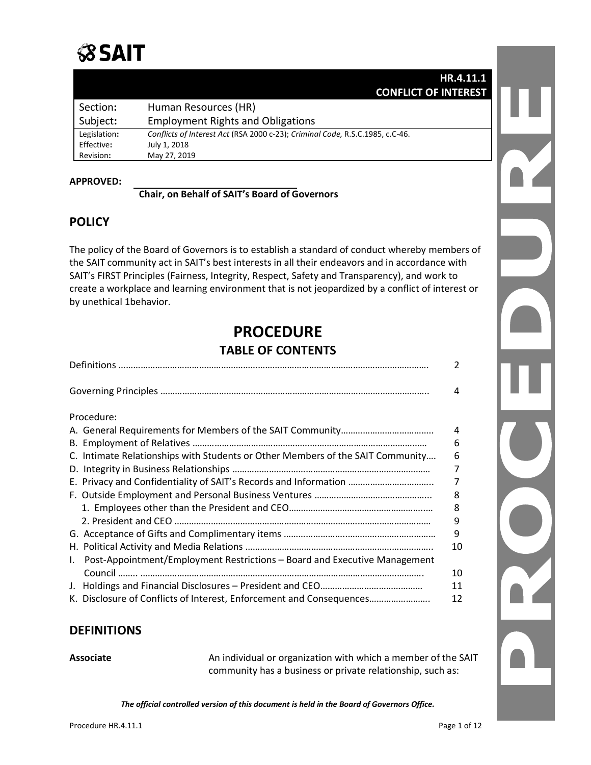# **SSAIT**

|              | HR.4.11.1                                                                     |  |
|--------------|-------------------------------------------------------------------------------|--|
|              | <b>CONFLICT OF INTEREST</b>                                                   |  |
| Section:     | Human Resources (HR)                                                          |  |
| Subject:     | <b>Employment Rights and Obligations</b>                                      |  |
| Legislation: | Conflicts of Interest Act (RSA 2000 c-23); Criminal Code, R.S.C.1985, c.C-46. |  |
| Effective:   | July 1, 2018                                                                  |  |
| Revision:    | May 27, 2019                                                                  |  |

#### **APPROVED:**

#### **Chair, on Behalf of SAIT's Board of Governors**

# **POLICY**

The policy of the Board of Governors is to establish a standard of conduct whereby members of the SAIT community act in SAIT's best interests in all their endeavors and in accordance with SAIT's FIRST Principles (Fairness, Integrity, Respect, Safety and Transparency), and work to create a workplace and learning environment that is not jeopardized by a conflict of interest or by unethical 1behavior.

# **PROCEDURE TABLE OF CONTENTS**

| 4<br>Procedure:                                                                     |
|-------------------------------------------------------------------------------------|
|                                                                                     |
|                                                                                     |
| 4                                                                                   |
| 6                                                                                   |
| C. Intimate Relationships with Students or Other Members of the SAIT Community<br>6 |
| 7                                                                                   |
| E. Privacy and Confidentiality of SAIT's Records and Information<br>7               |
| 8                                                                                   |
| 8                                                                                   |
| 9                                                                                   |
| 9                                                                                   |
| 10                                                                                  |
| Post-Appointment/Employment Restrictions - Board and Executive Management<br>Ι.     |
| 10                                                                                  |
| 11                                                                                  |
| K. Disclosure of Conflicts of Interest, Enforcement and Consequences<br>12          |

# **DEFINITIONS**

Associate **An individual or organization with which a member of the SAIT** community has a business or private relationship, such as: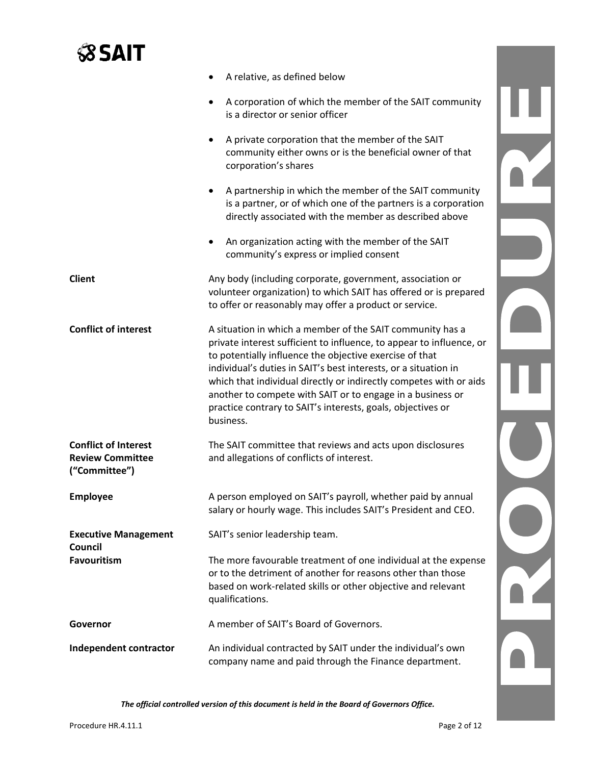# **SSAIT**

|                                                                         | A relative, as defined below                                                                                                                                                                                                                                                                                                                                                                                                                                                    |  |
|-------------------------------------------------------------------------|---------------------------------------------------------------------------------------------------------------------------------------------------------------------------------------------------------------------------------------------------------------------------------------------------------------------------------------------------------------------------------------------------------------------------------------------------------------------------------|--|
|                                                                         | A corporation of which the member of the SAIT community<br>is a director or senior officer                                                                                                                                                                                                                                                                                                                                                                                      |  |
|                                                                         | A private corporation that the member of the SAIT<br>community either owns or is the beneficial owner of that<br>corporation's shares                                                                                                                                                                                                                                                                                                                                           |  |
|                                                                         | A partnership in which the member of the SAIT community<br>is a partner, or of which one of the partners is a corporation<br>directly associated with the member as described above                                                                                                                                                                                                                                                                                             |  |
|                                                                         | An organization acting with the member of the SAIT<br>community's express or implied consent                                                                                                                                                                                                                                                                                                                                                                                    |  |
| <b>Client</b>                                                           | Any body (including corporate, government, association or<br>volunteer organization) to which SAIT has offered or is prepared<br>to offer or reasonably may offer a product or service.                                                                                                                                                                                                                                                                                         |  |
| <b>Conflict of interest</b>                                             | A situation in which a member of the SAIT community has a<br>private interest sufficient to influence, to appear to influence, or<br>to potentially influence the objective exercise of that<br>individual's duties in SAIT's best interests, or a situation in<br>which that individual directly or indirectly competes with or aids<br>another to compete with SAIT or to engage in a business or<br>practice contrary to SAIT's interests, goals, objectives or<br>business. |  |
| <b>Conflict of Interest</b><br><b>Review Committee</b><br>("Committee") | The SAIT committee that reviews and acts upon disclosures<br>and allegations of conflicts of interest.                                                                                                                                                                                                                                                                                                                                                                          |  |
| <b>Employee</b>                                                         | A person employed on SAIT's payroll, whether paid by annual<br>salary or hourly wage. This includes SAIT's President and CEO.                                                                                                                                                                                                                                                                                                                                                   |  |
| <b>Executive Management</b><br>Council                                  | SAIT's senior leadership team.                                                                                                                                                                                                                                                                                                                                                                                                                                                  |  |
| <b>Favouritism</b>                                                      | The more favourable treatment of one individual at the expense<br>or to the detriment of another for reasons other than those<br>based on work-related skills or other objective and relevant<br>qualifications.                                                                                                                                                                                                                                                                |  |
| Governor                                                                | A member of SAIT's Board of Governors.                                                                                                                                                                                                                                                                                                                                                                                                                                          |  |
| Independent contractor                                                  | An individual contracted by SAIT under the individual's own<br>company name and paid through the Finance department.                                                                                                                                                                                                                                                                                                                                                            |  |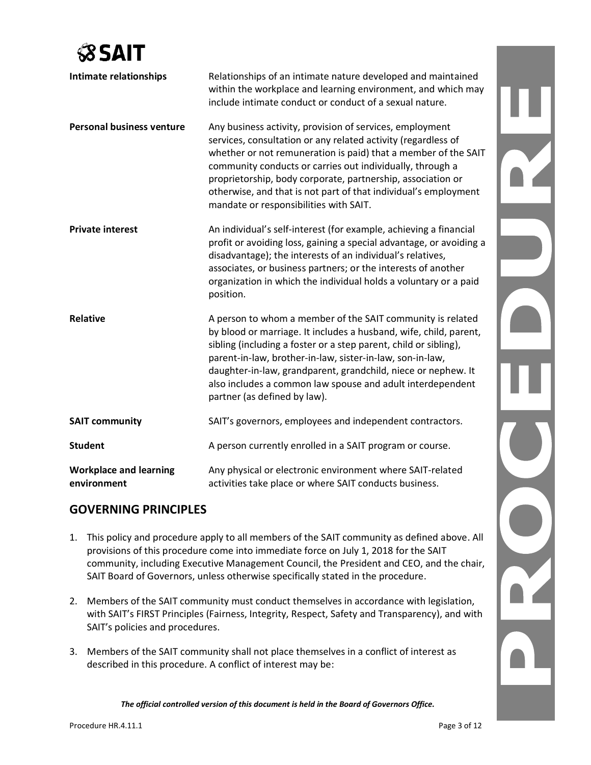

| Intimate relationships                       | Relationships of an intimate nature developed and maintained<br>within the workplace and learning environment, and which may<br>include intimate conduct or conduct of a sexual nature.                                                                                                                                                                                                                                              |
|----------------------------------------------|--------------------------------------------------------------------------------------------------------------------------------------------------------------------------------------------------------------------------------------------------------------------------------------------------------------------------------------------------------------------------------------------------------------------------------------|
| <b>Personal business venture</b>             | Any business activity, provision of services, employment<br>services, consultation or any related activity (regardless of<br>whether or not remuneration is paid) that a member of the SAIT<br>community conducts or carries out individually, through a<br>proprietorship, body corporate, partnership, association or<br>otherwise, and that is not part of that individual's employment<br>mandate or responsibilities with SAIT. |
| <b>Private interest</b>                      | An individual's self-interest (for example, achieving a financial<br>profit or avoiding loss, gaining a special advantage, or avoiding a<br>disadvantage); the interests of an individual's relatives,<br>associates, or business partners; or the interests of another<br>organization in which the individual holds a voluntary or a paid<br>position.                                                                             |
| <b>Relative</b>                              | A person to whom a member of the SAIT community is related<br>by blood or marriage. It includes a husband, wife, child, parent,<br>sibling (including a foster or a step parent, child or sibling),<br>parent-in-law, brother-in-law, sister-in-law, son-in-law,<br>daughter-in-law, grandparent, grandchild, niece or nephew. It<br>also includes a common law spouse and adult interdependent<br>partner (as defined by law).      |
| <b>SAIT community</b>                        | SAIT's governors, employees and independent contractors.                                                                                                                                                                                                                                                                                                                                                                             |
| <b>Student</b>                               | A person currently enrolled in a SAIT program or course.                                                                                                                                                                                                                                                                                                                                                                             |
| <b>Workplace and learning</b><br>environment | Any physical or electronic environment where SAIT-related<br>activities take place or where SAIT conducts business.                                                                                                                                                                                                                                                                                                                  |

# **GOVERNING PRINCIPLES**

- 1. This policy and procedure apply to all members of the SAIT community as defined above. All provisions of this procedure come into immediate force on July 1, 2018 for the SAIT community, including Executive Management Council, the President and CEO, and the chair, SAIT Board of Governors, unless otherwise specifically stated in the procedure.
- 2. Members of the SAIT community must conduct themselves in accordance with legislation, with SAIT's FIRST Principles (Fairness, Integrity, Respect, Safety and Transparency), and with SAIT's policies and procedures.
- 3. Members of the SAIT community shall not place themselves in a conflict of interest as described in this procedure. A conflict of interest may be:

*The official controlled version of this document is held in the Board of Governors Office.*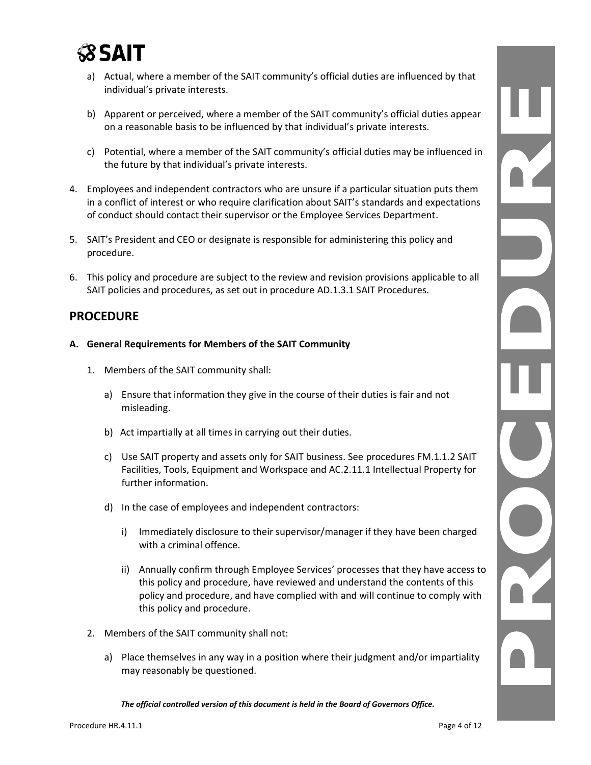

- a) Actual, where a member of the SAIT community's official duties are influenced by that individual's private interests.
- b) Apparent or perceived, where a member of the SAIT community's official duties appear on a reasonable basis to be influenced by that individual's private interests.
- c) Potential, where a member of the SAIT community's official duties may be influenced in the future by that individual's private interests.
- 4. Employees and independent contractors who are unsure if a particular situation puts them in a conflict of interest or who require clarification about SAIT's standards and expectations of conduct should contact their supervisor or the Employee Services Department.
- 5. SAIT's President and CEO or designate is responsible for administering this policy and procedure.
- 6. This policy and procedure are subject to the review and revision provisions applicable to all SAIT policies and procedures, as set out in procedure AD.1.3.1 SAIT Procedures.

### **PROCEDURE**

- **A. General Requirements for Members of the SAIT Community**
	- 1. Members of the SAIT community shall:
		- a) Ensure that information they give in the course of their duties is fair and not misleading.
		- b) Act impartially at all times in carrying out their duties.
		- c) Use SAIT property and assets only for SAIT business. See procedures FM.1.1.2 SAIT Facilities, Tools, Equipment and Workspace and AC.2.11.1 Intellectual Property for further information.
		- d) In the case of employees and independent contractors:
			- i) Immediately disclosure to their supervisor/manager if they have been charged with a criminal offence.
			- ii) Annually confirm through Employee Services' processes that they have access to this policy and procedure, have reviewed and understand the contents of this policy and procedure, and have complied with and will continue to comply with this policy and procedure.
	- 2. Members of the SAIT community shall not:
		- a) Place themselves in any way in a position where their judgment and/or impartiality may reasonably be questioned.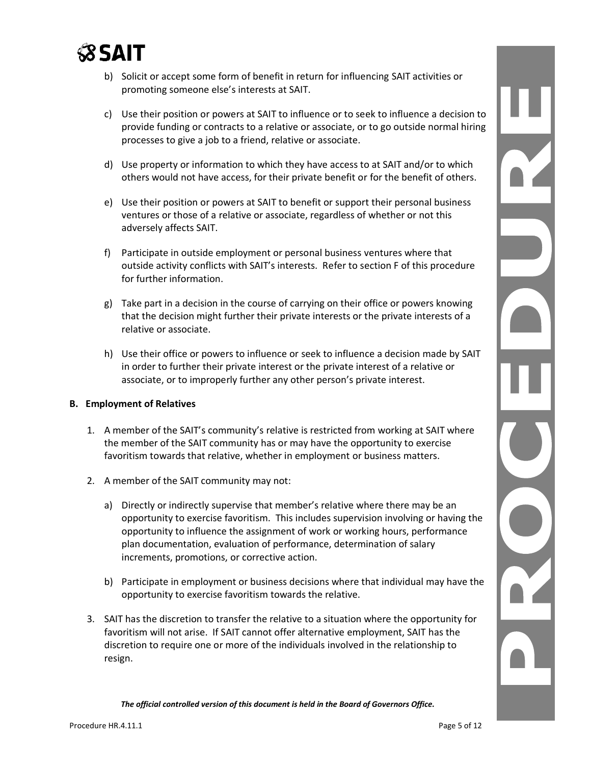

- b) Solicit or accept some form of benefit in return for influencing SAIT activities or promoting someone else's interests at SAIT.
- c) Use their position or powers at SAIT to influence or to seek to influence a decision to provide funding or contracts to a relative or associate, or to go outside normal hiring processes to give a job to a friend, relative or associate.
- d) Use property or information to which they have access to at SAIT and/or to which others would not have access, for their private benefit or for the benefit of others.
- e) Use their position or powers at SAIT to benefit or support their personal business ventures or those of a relative or associate, regardless of whether or not this adversely affects SAIT.
- f) Participate in outside employment or personal business ventures where that outside activity conflicts with SAIT's interests. Refer to section F of this procedure for further information.
- g) Take part in a decision in the course of carrying on their office or powers knowing that the decision might further their private interests or the private interests of a relative or associate.
- h) Use their office or powers to influence or seek to influence a decision made by SAIT in order to further their private interest or the private interest of a relative or associate, or to improperly further any other person's private interest.

#### **B. Employment of Relatives**

- 1. A member of the SAIT's community's relative is restricted from working at SAIT where the member of the SAIT community has or may have the opportunity to exercise favoritism towards that relative, whether in employment or business matters.
- 2. A member of the SAIT community may not:
	- a) Directly or indirectly supervise that member's relative where there may be an opportunity to exercise favoritism. This includes supervision involving or having the opportunity to influence the assignment of work or working hours, performance plan documentation, evaluation of performance, determination of salary increments, promotions, or corrective action.
	- b) Participate in employment or business decisions where that individual may have the opportunity to exercise favoritism towards the relative.
- 3. SAIT has the discretion to transfer the relative to a situation where the opportunity for favoritism will not arise. If SAIT cannot offer alternative employment, SAIT has the discretion to require one or more of the individuals involved in the relationship to resign.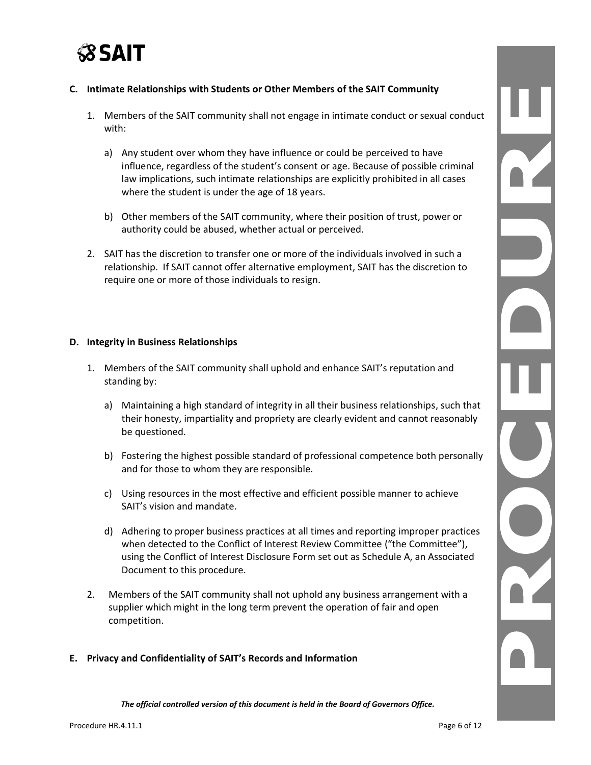

#### **C. Intimate Relationships with Students or Other Members of the SAIT Community**

- 1. Members of the SAIT community shall not engage in intimate conduct or sexual conduct with:
	- a) Any student over whom they have influence or could be perceived to have influence, regardless of the student's consent or age. Because of possible criminal law implications, such intimate relationships are explicitly prohibited in all cases where the student is under the age of 18 years.
	- b) Other members of the SAIT community, where their position of trust, power or authority could be abused, whether actual or perceived.
- 2. SAIT has the discretion to transfer one or more of the individuals involved in such a relationship. If SAIT cannot offer alternative employment, SAIT has the discretion to require one or more of those individuals to resign.

#### **D. Integrity in Business Relationships**

- 1. Members of the SAIT community shall uphold and enhance SAIT's reputation and standing by:
	- a) Maintaining a high standard of integrity in all their business relationships, such that their honesty, impartiality and propriety are clearly evident and cannot reasonably be questioned.
	- b) Fostering the highest possible standard of professional competence both personally and for those to whom they are responsible.
	- c) Using resources in the most effective and efficient possible manner to achieve SAIT's vision and mandate.
	- d) Adhering to proper business practices at all times and reporting improper practices when detected to the Conflict of Interest Review Committee ("the Committee"), using the Conflict of Interest Disclosure Form set out as Schedule A, an Associated Document to this procedure.
- 2. Members of the SAIT community shall not uphold any business arrangement with a supplier which might in the long term prevent the operation of fair and open competition.

#### **E. Privacy and Confidentiality of SAIT's Records and Information**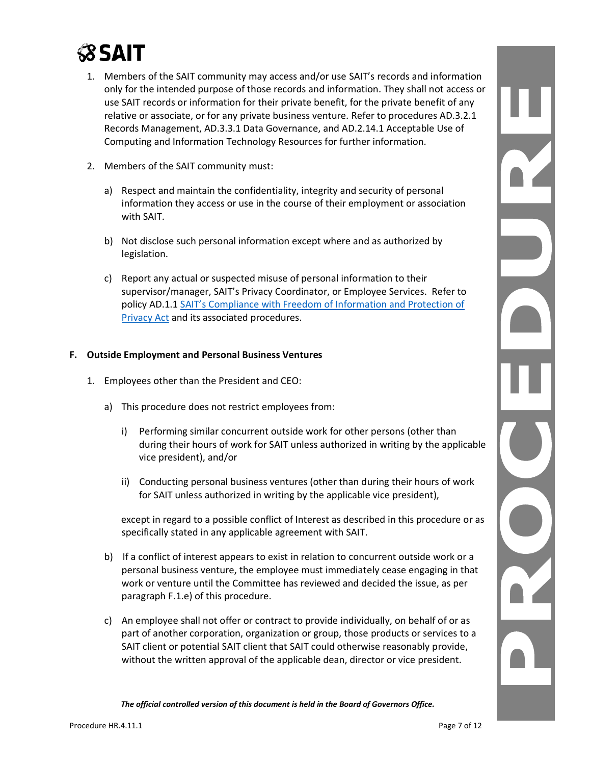

- 1. Members of the SAIT community may access and/or use SAIT's records and information only for the intended purpose of those records and information. They shall not access or use SAIT records or information for their private benefit, for the private benefit of any relative or associate, or for any private business venture. Refer to procedures AD.3.2.1 Records Management, AD.3.3.1 Data Governance, and AD.2.14.1 Acceptable Use of Computing and Information Technology Resources for further information.
- 2. Members of the SAIT community must:
	- a) Respect and maintain the confidentiality, integrity and security of personal information they access or use in the course of their employment or association with SAIT.
	- b) Not disclose such personal information except where and as authorized by legislation.
	- c) Report any actual or suspected misuse of personal information to their supervisor/manager, SAIT's Privacy Coordinator, or Employee Services. Refer to policy AD.1.1 [SAIT's Compliance with Freedom of Information and Protection of](https://www.sait.ca/assets/documents/about-sait/policies-and-procedures/administration/ad-1-1-compliance-with-freedom-of-information-and-protection-of-privacy-act.pdf)  [Privacy Act](https://www.sait.ca/assets/documents/about-sait/policies-and-procedures/administration/ad-1-1-compliance-with-freedom-of-information-and-protection-of-privacy-act.pdf) and its associated procedures.

#### **F. Outside Employment and Personal Business Ventures**

- 1. Employees other than the President and CEO:
	- a) This procedure does not restrict employees from:
		- i) Performing similar concurrent outside work for other persons (other than during their hours of work for SAIT unless authorized in writing by the applicable vice president), and/or
		- ii) Conducting personal business ventures (other than during their hours of work for SAIT unless authorized in writing by the applicable vice president),

 except in regard to a possible conflict of Interest as described in this procedure or as specifically stated in any applicable agreement with SAIT.

- b) If a conflict of interest appears to exist in relation to concurrent outside work or a personal business venture, the employee must immediately cease engaging in that work or venture until the Committee has reviewed and decided the issue, as per paragraph F.1.e) of this procedure.
- c) An employee shall not offer or contract to provide individually, on behalf of or as part of another corporation, organization or group, those products or services to a SAIT client or potential SAIT client that SAIT could otherwise reasonably provide, without the written approval of the applicable dean, director or vice president.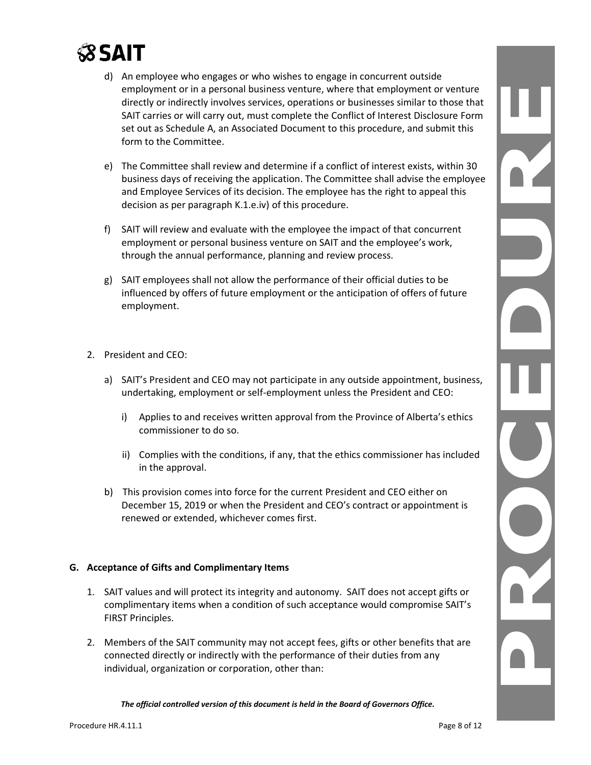# *<b>SSAIT*

- d) An employee who engages or who wishes to engage in concurrent outside employment or in a personal business venture, where that employment or venture directly or indirectly involves services, operations or businesses similar to those that SAIT carries or will carry out, must complete the Conflict of Interest Disclosure Form set out as Schedule A, an Associated Document to this procedure, and submit this form to the Committee.
- e) The Committee shall review and determine if a conflict of interest exists, within 30 business days of receiving the application. The Committee shall advise the employee and Employee Services of its decision. The employee has the right to appeal this decision as per paragraph K.1.e.iv) of this procedure.
- f) SAIT will review and evaluate with the employee the impact of that concurrent employment or personal business venture on SAIT and the employee's work, through the annual performance, planning and review process.
- g) SAIT employees shall not allow the performance of their official duties to be influenced by offers of future employment or the anticipation of offers of future employment.

#### 2. President and CEO:

- a) SAIT's President and CEO may not participate in any outside appointment, business, undertaking, employment or self-employment unless the President and CEO:
	- i) Applies to and receives written approval from the Province of Alberta's ethics commissioner to do so.
	- ii) Complies with the conditions, if any, that the ethics commissioner has included in the approval.
- b) This provision comes into force for the current President and CEO either on December 15, 2019 or when the President and CEO's contract or appointment is renewed or extended, whichever comes first.

#### **G. Acceptance of Gifts and Complimentary Items**

- 1. SAIT values and will protect its integrity and autonomy. SAIT does not accept gifts or complimentary items when a condition of such acceptance would compromise SAIT's FIRST Principles.
- 2. Members of the SAIT community may not accept fees, gifts or other benefits that are connected directly or indirectly with the performance of their duties from any individual, organization or corporation, other than: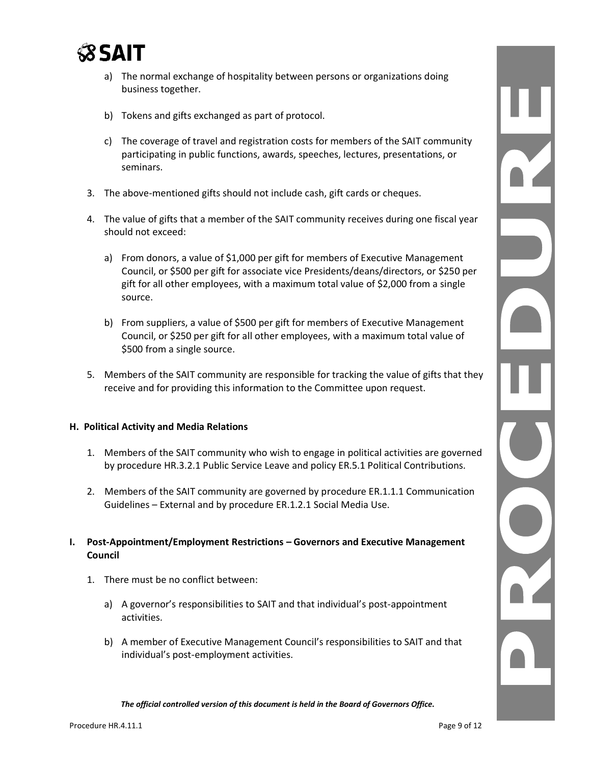

- a) The normal exchange of hospitality between persons or organizations doing business together.
- b) Tokens and gifts exchanged as part of protocol.
- c) The coverage of travel and registration costs for members of the SAIT community participating in public functions, awards, speeches, lectures, presentations, or seminars.
- 3. The above-mentioned gifts should not include cash, gift cards or cheques.
- 4. The value of gifts that a member of the SAIT community receives during one fiscal year should not exceed:
	- a) From donors, a value of \$1,000 per gift for members of Executive Management Council, or \$500 per gift for associate vice Presidents/deans/directors, or \$250 per gift for all other employees, with a maximum total value of \$2,000 from a single source.
	- b) From suppliers, a value of \$500 per gift for members of Executive Management Council, or \$250 per gift for all other employees, with a maximum total value of \$500 from a single source.
- 5. Members of the SAIT community are responsible for tracking the value of gifts that they receive and for providing this information to the Committee upon request.

#### **H. Political Activity and Media Relations**

- 1. Members of the SAIT community who wish to engage in political activities are governed by procedure HR.3.2.1 Public Service Leave and policy ER.5.1 Political Contributions.
- 2. Members of the SAIT community are governed by procedure ER.1.1.1 Communication Guidelines – External and by procedure ER.1.2.1 Social Media Use.

#### **I. Post-Appointment/Employment Restrictions – Governors and Executive Management Council**

- 1. There must be no conflict between:
	- a) A governor's responsibilities to SAIT and that individual's post-appointment activities.
	- b) A member of Executive Management Council's responsibilities to SAIT and that individual's post-employment activities.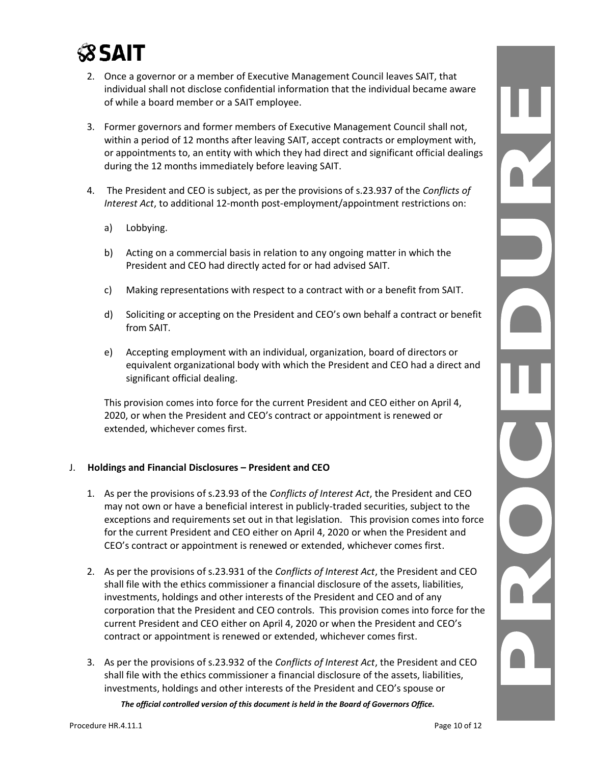

- 2. Once a governor or a member of Executive Management Council leaves SAIT, that individual shall not disclose confidential information that the individual became aware of while a board member or a SAIT employee.
- 3. Former governors and former members of Executive Management Council shall not, within a period of 12 months after leaving SAIT, accept contracts or employment with, or appointments to, an entity with which they had direct and significant official dealings during the 12 months immediately before leaving SAIT.
- 4. The President and CEO is subject, as per the provisions of s.23.937 of the *Conflicts of Interest Act*, to additional 12-month post-employment/appointment restrictions on:
	- a) Lobbying.
	- b) Acting on a commercial basis in relation to any ongoing matter in which the President and CEO had directly acted for or had advised SAIT.
	- c) Making representations with respect to a contract with or a benefit from SAIT.
	- d) Soliciting or accepting on the President and CEO's own behalf a contract or benefit from SAIT.
	- e) Accepting employment with an individual, organization, board of directors or equivalent organizational body with which the President and CEO had a direct and significant official dealing.

This provision comes into force for the current President and CEO either on April 4, 2020, or when the President and CEO's contract or appointment is renewed or extended, whichever comes first.

#### J. **Holdings and Financial Disclosures – President and CEO**

- 1. As per the provisions of s.23.93 of the *Conflicts of Interest Act*, the President and CEO may not own or have a beneficial interest in publicly-traded securities, subject to the exceptions and requirements set out in that legislation. This provision comes into force for the current President and CEO either on April 4, 2020 or when the President and CEO's contract or appointment is renewed or extended, whichever comes first.
- 2. As per the provisions of s.23.931 of the *Conflicts of Interest Act*, the President and CEO shall file with the ethics commissioner a financial disclosure of the assets, liabilities, investments, holdings and other interests of the President and CEO and of any corporation that the President and CEO controls. This provision comes into force for the current President and CEO either on April 4, 2020 or when the President and CEO's contract or appointment is renewed or extended, whichever comes first.
- 3. As per the provisions of s.23.932 of the *Conflicts of Interest Act*, the President and CEO shall file with the ethics commissioner a financial disclosure of the assets, liabilities, investments, holdings and other interests of the President and CEO's spouse or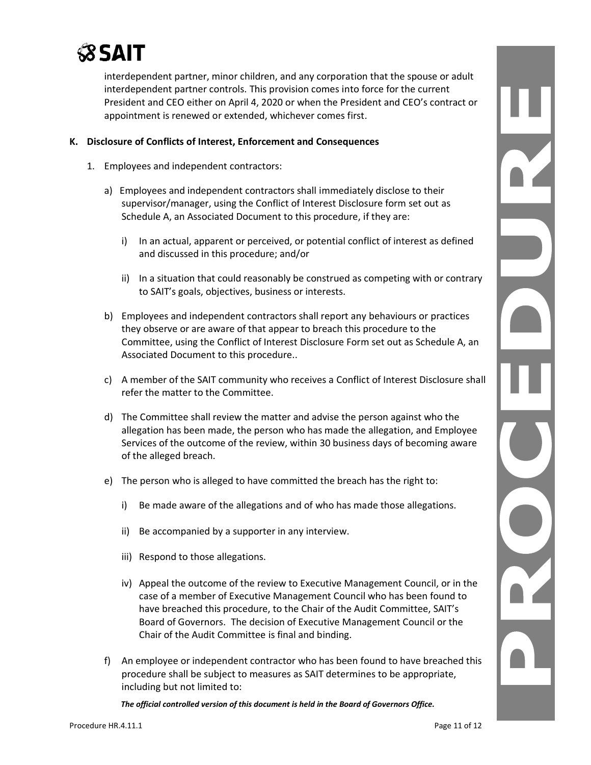

interdependent partner, minor children, and any corporation that the spouse or adult interdependent partner controls. This provision comes into force for the current President and CEO either on April 4, 2020 or when the President and CEO's contract or appointment is renewed or extended, whichever comes first.

#### **K. Disclosure of Conflicts of Interest, Enforcement and Consequences**

- 1. Employees and independent contractors:
	- a) Employees and independent contractors shall immediately disclose to their supervisor/manager, using the Conflict of Interest Disclosure form set out as Schedule A, an Associated Document to this procedure, if they are:
		- i) In an actual, apparent or perceived, or potential conflict of interest as defined and discussed in this procedure; and/or
		- ii) In a situation that could reasonably be construed as competing with or contrary to SAIT's goals, objectives, business or interests.
	- b) Employees and independent contractors shall report any behaviours or practices they observe or are aware of that appear to breach this procedure to the Committee, using the Conflict of Interest Disclosure Form set out as Schedule A, an Associated Document to this procedure..
	- c) A member of the SAIT community who receives a Conflict of Interest Disclosure shall refer the matter to the Committee.
	- d) The Committee shall review the matter and advise the person against who the allegation has been made, the person who has made the allegation, and Employee Services of the outcome of the review, within 30 business days of becoming aware of the alleged breach.
	- e) The person who is alleged to have committed the breach has the right to:
		- i) Be made aware of the allegations and of who has made those allegations.
		- ii) Be accompanied by a supporter in any interview.
		- iii) Respond to those allegations.
		- iv) Appeal the outcome of the review to Executive Management Council, or in the case of a member of Executive Management Council who has been found to have breached this procedure, to the Chair of the Audit Committee, SAIT's Board of Governors. The decision of Executive Management Council or the Chair of the Audit Committee is final and binding.
	- f) An employee or independent contractor who has been found to have breached this procedure shall be subject to measures as SAIT determines to be appropriate, including but not limited to: